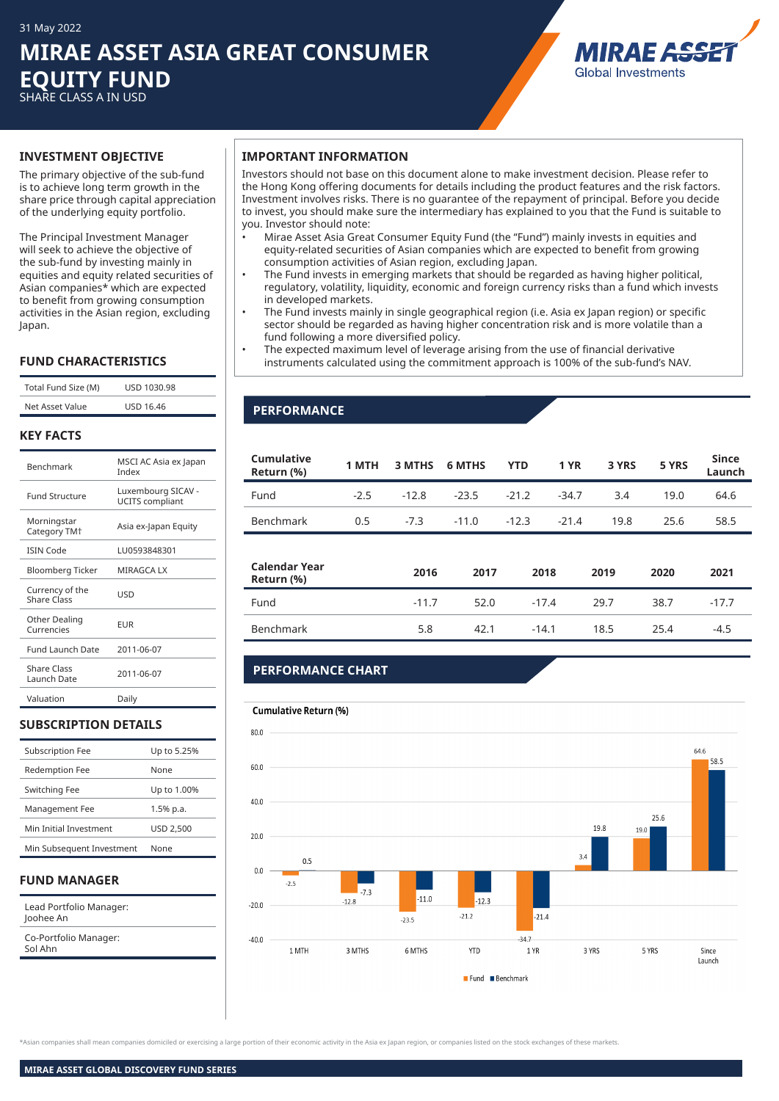## **MIRAE ASSET ASIA GREAT CONSUMER EQUITY FUND** SHARE CLASS A IN USD

MIRAE A. **Global Investments** 

The primary objective of the sub-fund is to achieve long term growth in the share price through capital appreciation of the underlying equity portfolio.

The Principal Investment Manager will seek to achieve the objective of the sub-fund by investing mainly in equities and equity related securities of Asian companies\* which are expected to benefit from growing consumption activities in the Asian region, excluding Japan.

### **FUND CHARACTERISTICS**

| Total Fund Size (M) | USD 1030.98      |
|---------------------|------------------|
| Net Asset Value     | <b>USD 16.46</b> |

#### **KEY FACTS**

| <b>Benchmark</b>                        | MSCI AC Asia ex Japan<br>Index               |
|-----------------------------------------|----------------------------------------------|
| <b>Fund Structure</b>                   | Luxembourg SICAV -<br><b>UCITS</b> compliant |
| Morningstar<br>Category TM <sup>+</sup> | Asia ex-Japan Equity                         |
| <b>ISIN Code</b>                        | LU0593848301                                 |
| Bloomberg Ticker                        | <b>MIRAGCA LX</b>                            |
| Currency of the<br><b>Share Class</b>   | USD                                          |
| Other Dealing<br>Currencies             | FUR                                          |
| <b>Fund Launch Date</b>                 | 2011-06-07                                   |
| <b>Share Class</b><br>Launch Date       | 2011-06-07                                   |
| Valuation                               | Daily                                        |

### **SUBSCRIPTION DETAILS**

| <b>Subscription Fee</b>   | Up to 5.25%      |
|---------------------------|------------------|
| <b>Redemption Fee</b>     | None             |
| Switching Fee             | Up to 1.00%      |
| Management Fee            | 1.5% p.a.        |
| Min Initial Investment    | <b>USD 2.500</b> |
| Min Subsequent Investment | None             |
|                           |                  |

### **FUND MANAGER**

| Lead Portfolio Manager:<br>Joohee An |  |
|--------------------------------------|--|
| Co-Portfolio Manager:<br>Sol Ahn     |  |

#### **INVESTMENT OBJECTIVE IMPORTANT INFORMATION**

Investors should not base on this document alone to make investment decision. Please refer to the Hong Kong offering documents for details including the product features and the risk factors. Investment involves risks. There is no guarantee of the repayment of principal. Before you decide to invest, you should make sure the intermediary has explained to you that the Fund is suitable to you. Investor should note:

- Mirae Asset Asia Great Consumer Equity Fund (the "Fund") mainly invests in equities and equity-related securities of Asian companies which are expected to benefit from growing consumption activities of Asian region, excluding Japan.
- The Fund invests in emerging markets that should be regarded as having higher political, regulatory, volatility, liquidity, economic and foreign currency risks than a fund which invests in developed markets.
- The Fund invests mainly in single geographical region (i.e. Asia ex Japan region) or specific sector should be regarded as having higher concentration risk and is more volatile than a fund following a more diversified policy.
- The expected maximum level of leverage arising from the use of financial derivative instruments calculated using the commitment approach is 100% of the sub-fund's NAV.

## **PERFORMANCE**

| Cumulative<br>Return (%)    | 1 MTH  | 3 MTHS  | <b>6 MTHS</b> | <b>YTD</b> | <b>1 YR</b> | 3 YRS | 5 YRS | <b>Since</b><br>Launch |
|-----------------------------|--------|---------|---------------|------------|-------------|-------|-------|------------------------|
| Fund                        | $-2.5$ | $-12.8$ | $-23.5$       | $-21.2$    | $-34.7$     | 3.4   | 19.0  | 64.6                   |
| <b>Benchmark</b>            | 0.5    | $-7.3$  | $-11.0$       | $-12.3$    | $-21.4$     | 19.8  | 25.6  | 58.5                   |
| Calendar Year<br>Return (%) |        | 2016    | 2017          | 2018       |             | 2019  | 2020  | 2021                   |
| Fund                        |        | $-11.7$ | 52.0          | $-17.4$    |             | 29.7  | 38.7  | $-17.7$                |
| Benchmark                   |        | 5.8     | 42.1          | $-14.1$    |             | 18.5  | 25.4  | $-4.5$                 |
|                             |        |         |               |            |             |       |       |                        |

## **PERFORMANCE CHART**

## Cumulative Return (%)



.<br>Masian companies shall mean companies domiciled or exercising a large portion of their economic activity in the Asia ex Japan region, or companies listed on the stock exchanges of these markets.